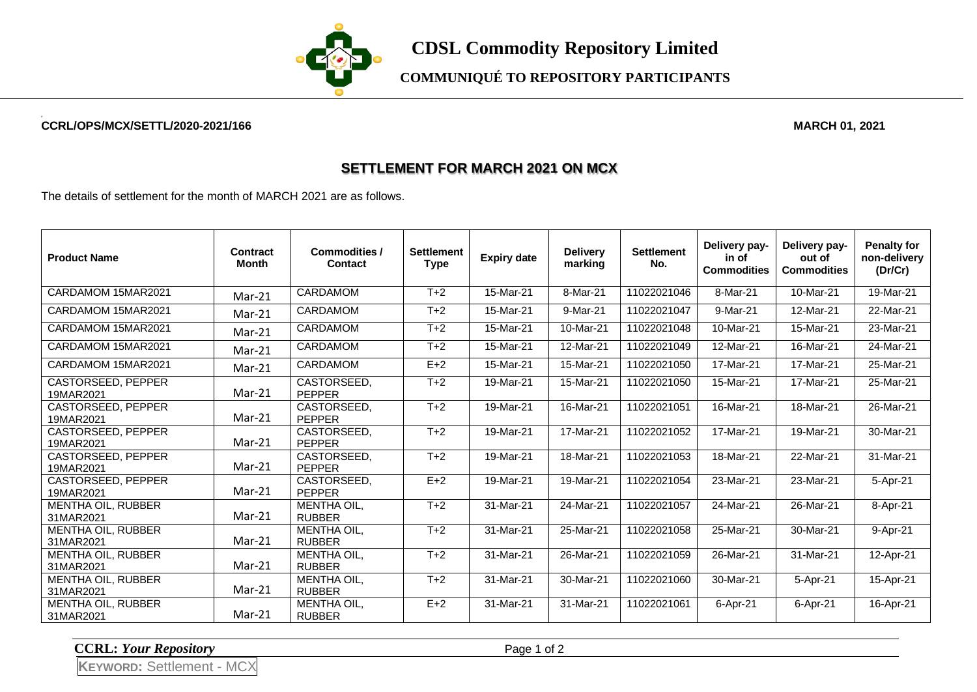

**COMMUNIQUÉ TO REPOSITORY PARTICIPANTS**

## **CCRL/OPS/MCX/SETTL/2020-2021/166 MARCH 01, 2021**

## **SETTLEMENT FOR MARCH 2021 ON MCX**

The details of settlement for the month of MARCH 2021 are as follows.

| <b>Product Name</b>                    | Contract<br>Month | <b>Commodities /</b><br><b>Contact</b> | <b>Settlement</b><br><b>Type</b> | <b>Expiry date</b> | <b>Delivery</b><br>marking | <b>Settlement</b><br>No. | Delivery pay-<br>in of<br><b>Commodities</b> | Delivery pay-<br>out of<br><b>Commodities</b> | <b>Penalty for</b><br>non-delivery<br>(Dr/Cr) |
|----------------------------------------|-------------------|----------------------------------------|----------------------------------|--------------------|----------------------------|--------------------------|----------------------------------------------|-----------------------------------------------|-----------------------------------------------|
| CARDAMOM 15MAR2021                     | $Mar-21$          | <b>CARDAMOM</b>                        | $T+2$                            | 15-Mar-21          | 8-Mar-21                   | 11022021046              | 8-Mar-21                                     | 10-Mar-21                                     | 19-Mar-21                                     |
| CARDAMOM 15MAR2021                     | $Mar-21$          | <b>CARDAMOM</b>                        | $T+2$                            | 15-Mar-21          | 9-Mar-21                   | 11022021047              | 9-Mar-21                                     | 12-Mar-21                                     | 22-Mar-21                                     |
| CARDAMOM 15MAR2021                     | Mar-21            | CARDAMOM                               | $T+2$                            | 15-Mar-21          | 10-Mar-21                  | 11022021048              | 10-Mar-21                                    | 15-Mar-21                                     | 23-Mar-21                                     |
| CARDAMOM 15MAR2021                     | Mar-21            | <b>CARDAMOM</b>                        | $T+2$                            | 15-Mar-21          | 12-Mar-21                  | 11022021049              | 12-Mar-21                                    | 16-Mar-21                                     | 24-Mar-21                                     |
| CARDAMOM 15MAR2021                     | Mar-21            | CARDAMOM                               | $E+2$                            | 15-Mar-21          | 15-Mar-21                  | 11022021050              | 17-Mar-21                                    | 17-Mar-21                                     | 25-Mar-21                                     |
| <b>CASTORSEED, PEPPER</b><br>19MAR2021 | $Mar-21$          | CASTORSEED,<br><b>PEPPER</b>           | $T+2$                            | 19-Mar-21          | 15-Mar-21                  | 11022021050              | 15-Mar-21                                    | 17-Mar-21                                     | 25-Mar-21                                     |
| <b>CASTORSEED, PEPPER</b><br>19MAR2021 | Mar-21            | CASTORSEED,<br><b>PEPPER</b>           | $T+2$                            | 19-Mar-21          | 16-Mar-21                  | 11022021051              | 16-Mar-21                                    | 18-Mar-21                                     | 26-Mar-21                                     |
| CASTORSEED, PEPPER<br>19MAR2021        | $Mar-21$          | CASTORSEED.<br><b>PEPPER</b>           | $T+2$                            | 19-Mar-21          | 17-Mar-21                  | 11022021052              | 17-Mar-21                                    | $\overline{19}$ -Mar-21                       | 30-Mar-21                                     |
| CASTORSEED, PEPPER<br>19MAR2021        | $Mar-21$          | CASTORSEED,<br><b>PEPPER</b>           | $T+2$                            | 19-Mar-21          | 18-Mar-21                  | 11022021053              | 18-Mar-21                                    | 22-Mar-21                                     | 31-Mar-21                                     |
| <b>CASTORSEED, PEPPER</b><br>19MAR2021 | Mar-21            | CASTORSEED,<br><b>PEPPER</b>           | $E+2$                            | 19-Mar-21          | 19-Mar-21                  | 11022021054              | 23-Mar-21                                    | 23-Mar-21                                     | 5-Apr-21                                      |
| MENTHA OIL, RUBBER<br>31MAR2021        | Mar-21            | MENTHA OIL,<br><b>RUBBER</b>           | $T+2$                            | 31-Mar-21          | 24-Mar-21                  | 11022021057              | 24-Mar-21                                    | 26-Mar-21                                     | 8-Apr-21                                      |
| <b>MENTHA OIL, RUBBER</b><br>31MAR2021 | $Mar-21$          | <b>MENTHA OIL,</b><br><b>RUBBER</b>    | $T+2$                            | 31-Mar-21          | 25-Mar-21                  | 11022021058              | 25-Mar-21                                    | 30-Mar-21                                     | 9-Apr-21                                      |
| MENTHA OIL, RUBBER<br>31MAR2021        | Mar-21            | MENTHA OIL,<br><b>RUBBER</b>           | $T+2$                            | 31-Mar-21          | 26-Mar-21                  | 11022021059              | 26-Mar-21                                    | 31-Mar-21                                     | 12-Apr-21                                     |
| MENTHA OIL, RUBBER<br>31MAR2021        | Mar-21            | <b>MENTHA OIL,</b><br><b>RUBBER</b>    | $T+2$                            | 31-Mar-21          | 30-Mar-21                  | 11022021060              | 30-Mar-21                                    | 5-Apr-21                                      | 15-Apr-21                                     |
| MENTHA OIL, RUBBER<br>31MAR2021        | $Mar-21$          | MENTHA OIL,<br><b>RUBBER</b>           | $E+2$                            | 31-Mar-21          | 31-Mar-21                  | 11022021061              | 6-Apr-21                                     | 6-Apr-21                                      | 16-Apr-21                                     |

**CCRL:** *Your Repository* Page 1 of 2

**KEYWORD:** Settlement - MCX